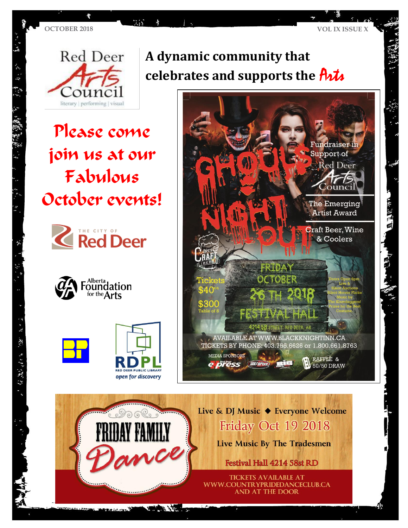$\hat{a}$  :  $\hat{b}$ 

Please come join us at our Fabulous October events!

 $35$ 







# **A dynamic community that celebrates and supports the**  $\hat{H}$



Live & DJ Music ♦ Everyone Welcome Friday Oct 19 2018

Live Music By The Tradesmen

Festival Hall 4214 58st RD

**TICKETS AVAILABLE AT** WWW.COUNTRYPRIDEDANCECLUB.CA **AND AT THE DOOR** 

 $\mathbf{X}$  .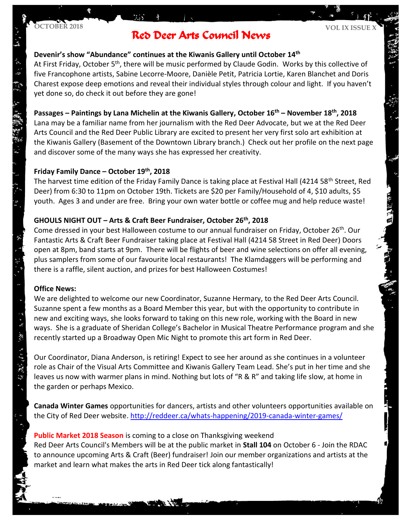$\frac{1}{2}$  :  $\frac{1}{2}$ 

#### **OCTOBER 2018 VOL IX ISSUE X** Red Deer Arts Council News

#### **Devenir's show "Abundance" continues at the Kiwanis Gallery until October 14th**

At First Friday, October 5<sup>th</sup>, there will be music performed by Claude Godin. Works by this collective of five Francophone artists, Sabine Lecorre-Moore, Danièle Petit, Patricia Lortie, Karen Blanchet and Doris Charest expose deep emotions and reveal their individual styles through colour and light. If you haven't yet done so, do check it out before they are gone!

#### **Passages – Paintings by Lana Michelin at the Kiwanis Gallery, October 16th – November 18th, 2018**

Lana may be a familiar name from her journalism with the Red Deer Advocate, but we at the Red Deer Arts Council and the Red Deer Public Library are excited to present her very first solo art exhibition at the Kiwanis Gallery (Basement of the Downtown Library branch.) Check out her profile on the next page and discover some of the many ways she has expressed her creativity.

#### **Friday Family Dance – October 19th, 2018**

The harvest time edition of the Friday Family Dance is taking place at Festival Hall (4214 58<sup>th</sup> Street, Red Deer) from 6:30 to 11pm on October 19th. Tickets are \$20 per Family/Household of 4, \$10 adults, \$5 youth. Ages 3 and under are free. Bring your own water bottle or coffee mug and help reduce waste!

#### **GHOULS NIGHT OUT – Arts & Craft Beer Fundraiser, October 26th , 2018**

Come dressed in your best Halloween costume to our annual fundraiser on Friday, October 26th. Our Fantastic Arts & Craft Beer Fundraiser taking place at Festival Hall (4214 58 Street in Red Deer) Doors open at 8pm, band starts at 9pm. There will be flights of beer and wine selections on offer all evening, plus samplers from some of our favourite local restaurants! The Klamdaggers will be performing and there is a raffle, silent auction, and prizes for best Halloween Costumes!

#### **Office News:**

・「大き」

分发动作

We are delighted to welcome our new Coordinator, Suzanne Hermary, to the Red Deer Arts Council. Suzanne spent a few months as a Board Member this year, but with the opportunity to contribute in new and exciting ways, she looks forward to taking on this new role, working with the Board in new ways. She is a graduate of Sheridan College's Bachelor in Musical Theatre Performance program and she recently started up a Broadway Open Mic Night to promote this art form in Red Deer.

Our Coordinator, Diana Anderson, is retiring! Expect to see her around as she continues in a volunteer role as Chair of the Visual Arts Committee and Kiwanis Gallery Team Lead. She's put in her time and she leaves us now with warmer plans in mind. Nothing but lots of "R & R" and taking life slow, at home in the garden or perhaps Mexico.

**Canada Winter Games** opportunities for dancers, artists and other volunteers opportunities available on the City of Red Deer website.<http://reddeer.ca/whats-happening/2019-canada-winter-games/>

### **Public Market 2018 Season** is coming to a close on Thanksgiving weekend Red Deer Arts Council's Members will be at the public market in **Stall 104** on October 6 - Join the RDAC to announce upcoming Arts & Craft (Beer) fundraiser! Join our member organizations and artists at the market and learn what makes the arts in Red Deer tick along fantastically!